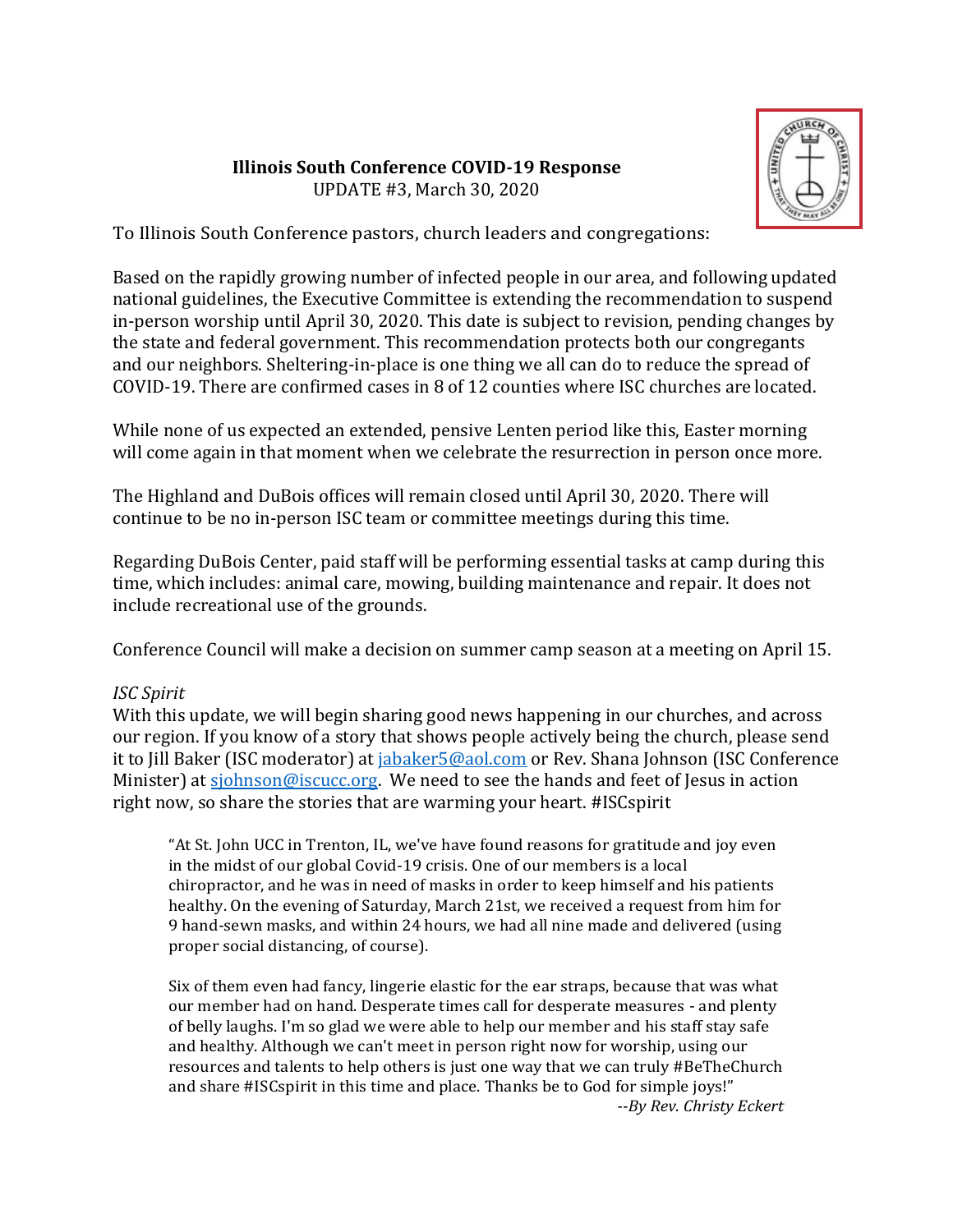#### **Illinois South Conference COVID-19 Response** UPDATE #3, March 30, 2020



To Illinois South Conference pastors, church leaders and congregations:

Based on the rapidly growing number of infected people in our area, and following updated national guidelines, the Executive Committee is extending the recommendation to suspend in-person worship until April 30, 2020. This date is subject to revision, pending changes by the state and federal government. This recommendation protects both our congregants and our neighbors. Sheltering-in-place is one thing we all can do to reduce the spread of COVID-19. There are confirmed cases in 8 of 12 counties where ISC churches are located.

While none of us expected an extended, pensive Lenten period like this, Easter morning will come again in that moment when we celebrate the resurrection in person once more.

The Highland and DuBois offices will remain closed until April 30, 2020. There will continue to be no in-person ISC team or committee meetings during this time.

Regarding DuBois Center, paid staff will be performing essential tasks at camp during this time, which includes: animal care, mowing, building maintenance and repair. It does not include recreational use of the grounds.

Conference Council will make a decision on summer camp season at a meeting on April 15.

## *ISC Spirit*

With this update, we will begin sharing good news happening in our churches, and across our region. If you know of a story that shows people actively being the church, please send it to Jill Baker (ISC moderator) at jabaker 5@aol.com or Rev. Shana Johnson (ISC Conference Minister) at [sjohnson@iscucc.org.](mailto:sjohnson@iscucc.org) We need to see the hands and feet of Jesus in action right now, so share the stories that are warming your heart. #ISCspirit

"At St. John UCC in Trenton, IL, we've have found reasons for gratitude and joy even in the midst of our global Covid-19 crisis. One of our members is a local chiropractor, and he was in need of masks in order to keep himself and his patients healthy. On the evening of Saturday, March 21st, we received a request from him for 9 hand-sewn masks, and within 24 hours, we had all nine made and delivered (using proper social distancing, of course).

Six of them even had fancy, lingerie elastic for the ear straps, because that was what our member had on hand. Desperate times call for desperate measures - and plenty of belly laughs. I'm so glad we were able to help our member and his staff stay safe and healthy. Although we can't meet in person right now for worship, using our resources and talents to help others is just one way that we can truly #BeTheChurch and share #ISCspirit in this time and place. Thanks be to God for simple joys!" *--By Rev. Christy Eckert*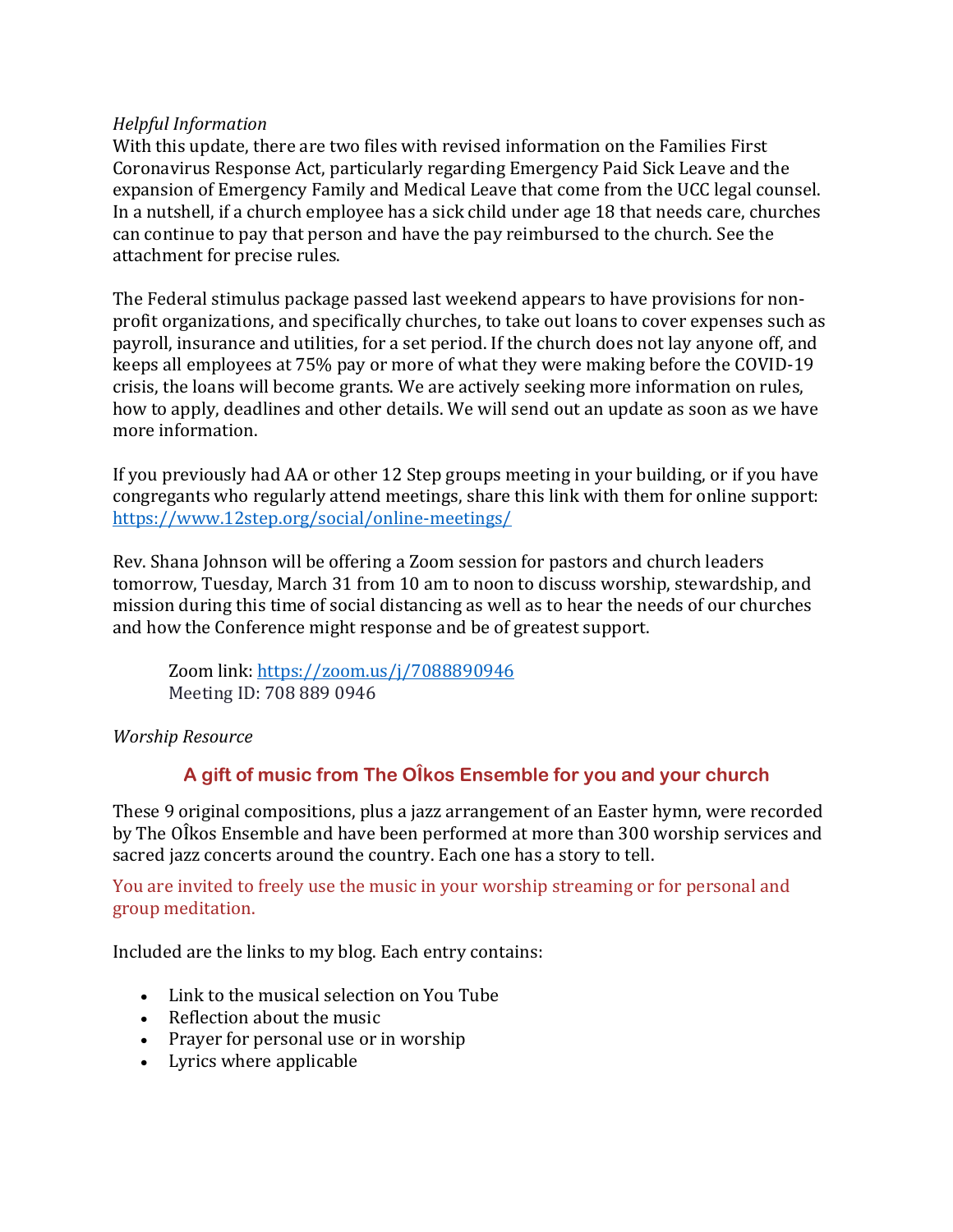### *Helpful Information*

With this update, there are two files with revised information on the Families First Coronavirus Response Act, particularly regarding Emergency Paid Sick Leave and the expansion of Emergency Family and Medical Leave that come from the UCC legal counsel. In a nutshell, if a church employee has a sick child under age 18 that needs care, churches can continue to pay that person and have the pay reimbursed to the church. See the attachment for precise rules.

The Federal stimulus package passed last weekend appears to have provisions for nonprofit organizations, and specifically churches, to take out loans to cover expenses such as payroll, insurance and utilities, for a set period. If the church does not lay anyone off, and keeps all employees at 75% pay or more of what they were making before the COVID-19 crisis, the loans will become grants. We are actively seeking more information on rules, how to apply, deadlines and other details. We will send out an update as soon as we have more information.

If you previously had AA or other 12 Step groups meeting in your building, or if you have congregants who regularly attend meetings, share this link with them for online support: ht[tps://www.12step.org/social/online-meetings/](http://www.12step.org/social/online-meetings/)

Rev. Shana Johnson will be offering a Zoom session for pastors and church leaders tomorrow, Tuesday, March 31 from 10 am to noon to discuss worship, stewardship, and mission during this time of social distancing as well as to hear the needs of our churches and how the Conference might response and be of greatest support.

Zoom link: https://zoom.us/j/7088890946 Meeting ID: 708 889 0946

## *Worship Resource*

# **A gift of music from The OÎkos Ensemble for you and your church**

These 9 original compositions, plus a jazz arrangement of an Easter hymn, were recorded by The OÎkos Ensemble and have been performed at more than 300 worship services and sacred jazz concerts around the country. Each one has a story to tell.

You are invited to freely use the music in your worship streaming or for personal and group meditation.

Included are the links to my blog. Each entry contains:

- Link to the musical selection on You Tube
- Reflection about the music
- Prayer for personal use or in worship
- Lyrics where applicable